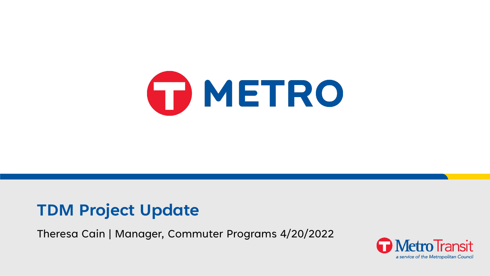

#### **TDM Project Update**

Theresa Cain | Manager, Commuter Programs 4/20/2022

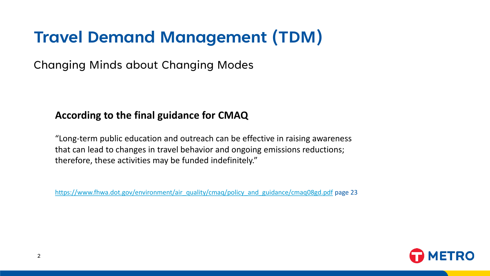## **Travel Demand Management (TDM)**

Changing Minds about Changing Modes

#### **According to the final guidance for CMAQ**

"Long-term public education and outreach can be effective in raising awareness that can lead to changes in travel behavior and ongoing emissions reductions; therefore, these activities may be funded indefinitely."

[https://www.fhwa.dot.gov/environment/air\\_quality/cmaq/policy\\_and\\_guidance/cmaq08gd.pdf](https://www.fhwa.dot.gov/environment/air_quality/cmaq/policy_and_guidance/cmaq08gd.pdf) page 23

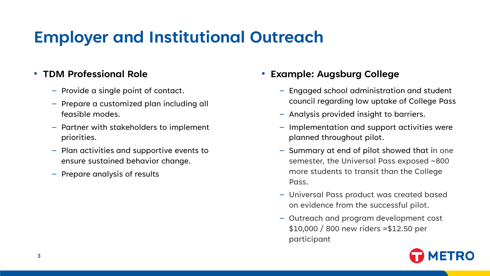## **Employer and Institutional Outreach**

#### • **TDM Professional Role**

- Provide a single point of contact.
- Prepare a customized plan including all feasible modes.
- Partner with stakeholders to implement priorities.
- Plan activities and supportive events to ensure sustained behavior change.
- Prepare analysis of results

#### • **Example: Augsburg College**

- Engaged school administration and student council regarding low uptake of College Pass
- Analysis provided insight to barriers.
- Implementation and support activities were planned throughout pilot.
- Summary at end of pilot showed that in one semester, the Universal Pass exposed ~800 more students to transit than the College Pass.
- Universal Pass product was created based on evidence from the successful pilot.
- Outreach and program development cost \$10,000 / 800 new riders =\$12.50 per participant

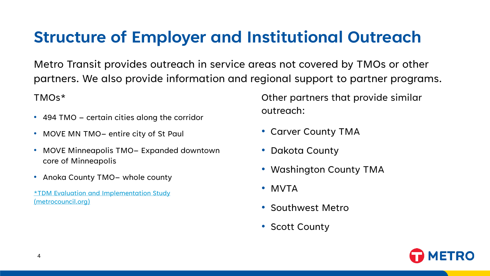### **Structure of Employer and Institutional Outreach**

Metro Transit provides outreach in service areas not covered by TMOs or other partners. We also provide information and regional support to partner programs.

TMOs\*

- 494 TMO certain cities along the corridor
- MOVE MN TMO– entire city of St Paul
- MOVE Minneapolis TMO– Expanded downtown core of Minneapolis
- Anoka County TMO- whole county
- [\\*TDM Evaluation and Implementation Study](https://metrocouncil.org/Transportation/Publications-And-Resources/Planning/MISCELLANEOUS-DOCUMENTS/TDMStudy-pdf.aspx)  (metrocouncil.org)

Other partners that provide similar outreach:

- Carver County TMA
- Dakota County
- Washington County TMA
- MVTA
- Southwest Metro
- Scott County

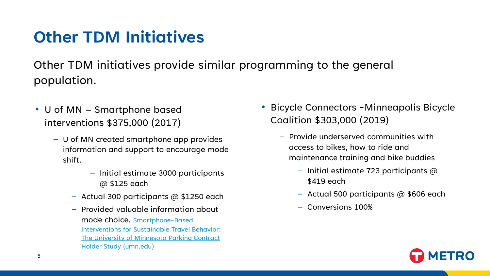### **Other TDM Initiatives**

Other TDM initiatives provide similar programming to the general population.

- U of MN Smartphone based interventions \$375,000 (2017)
	- U of MN created smartphone app provides information and support to encourage mode shift.
		- Initial estimate 3000 participants @ \$125 each
		- Actual 300 participants  $\omega$  \$1250 each
		- Provided valuable information about mode choice. Smartphone-Based [Interventions for Sustainable Travel Behavior:](http://cts-d8resmod-prd.oit.umn.edu:8080/pdf/cts-20-13.pdf) The University of Minnesota Parking Contract Holder Study (umn.edu)
- Bicycle Connectors -Minneapolis Bicycle Coalition \$303,000 (2019)
	- Provide underserved communities with access to bikes, how to ride and maintenance training and bike buddies
		- Initial estimate 723 participants  $\omega$ \$419 each
		- Actual 500 participants  $\omega$  \$606 each
		- Conversions 100%

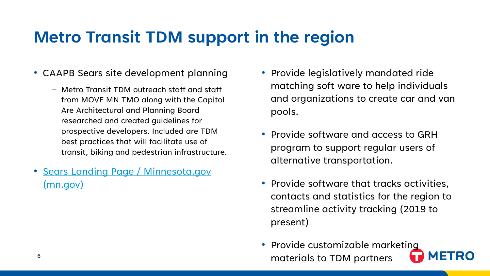### **Metro Transit TDM support in the region**

- CAAPB Sears site development planning
	- Metro Transit TDM outreach staff and staff from MOVE MN TMO along with the Capitol Are Architectural and Planning Board researched and created guidelines for prospective developers. Included are TDM best practices that will facilitate use of transit, biking and pedestrian infrastructure.
- <u>Sears Landing Page / Minnesota.gov</u> (mn.gov)
- Provide legislatively mandated ride matching soft ware to help individuals and organizations to create car and van pools.
- Provide software and access to GRH program to support regular users of alternative transportation.
- Provide software that tracks activities, contacts and statistics for the region to streamline activity tracking (2019 to present)
- Provide customizable marketing materials to TDM partners